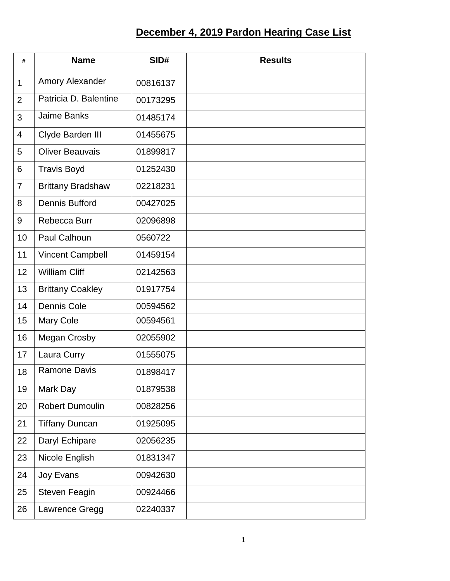## **December 4, 2019 Pardon Hearing Case List**

| #              | <b>Name</b>              | SID#     | <b>Results</b> |
|----------------|--------------------------|----------|----------------|
| $\mathbf{1}$   | Amory Alexander          | 00816137 |                |
| $\overline{2}$ | Patricia D. Balentine    | 00173295 |                |
| 3              | <b>Jaime Banks</b>       | 01485174 |                |
| $\overline{4}$ | Clyde Barden III         | 01455675 |                |
| 5              | <b>Oliver Beauvais</b>   | 01899817 |                |
| 6              | <b>Travis Boyd</b>       | 01252430 |                |
| $\overline{7}$ | <b>Brittany Bradshaw</b> | 02218231 |                |
| 8              | <b>Dennis Bufford</b>    | 00427025 |                |
| 9              | Rebecca Burr             | 02096898 |                |
| 10             | <b>Paul Calhoun</b>      | 0560722  |                |
| 11             | <b>Vincent Campbell</b>  | 01459154 |                |
| 12             | <b>William Cliff</b>     | 02142563 |                |
| 13             | <b>Brittany Coakley</b>  | 01917754 |                |
| 14             | Dennis Cole              | 00594562 |                |
| 15             | Mary Cole                | 00594561 |                |
| 16             | <b>Megan Crosby</b>      | 02055902 |                |
| 17             | Laura Curry              | 01555075 |                |
| 18             | <b>Ramone Davis</b>      | 01898417 |                |
| 19             | Mark Day                 | 01879538 |                |
| 20             | <b>Robert Dumoulin</b>   | 00828256 |                |
| 21             | <b>Tiffany Duncan</b>    | 01925095 |                |
| 22             | Daryl Echipare           | 02056235 |                |
| 23             | Nicole English           | 01831347 |                |
| 24             | Joy Evans                | 00942630 |                |
| 25             | <b>Steven Feagin</b>     | 00924466 |                |
| 26             | Lawrence Gregg           | 02240337 |                |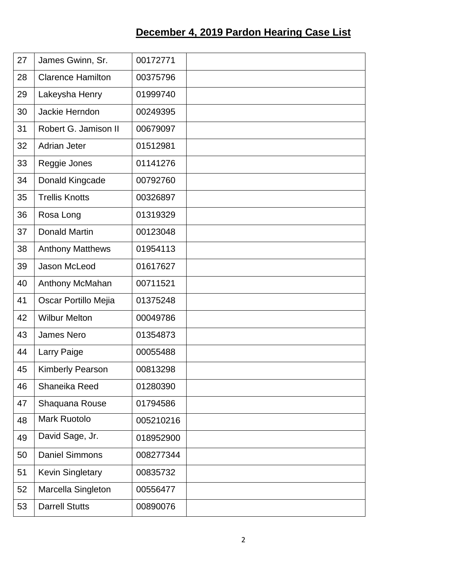## **December 4, 2019 Pardon Hearing Case List**

| 27 | James Gwinn, Sr.         | 00172771  |  |
|----|--------------------------|-----------|--|
| 28 | <b>Clarence Hamilton</b> | 00375796  |  |
| 29 | Lakeysha Henry           | 01999740  |  |
| 30 | Jackie Herndon           | 00249395  |  |
| 31 | Robert G. Jamison II     | 00679097  |  |
| 32 | <b>Adrian Jeter</b>      | 01512981  |  |
| 33 | Reggie Jones             | 01141276  |  |
| 34 | Donald Kingcade          | 00792760  |  |
| 35 | <b>Trellis Knotts</b>    | 00326897  |  |
| 36 | Rosa Long                | 01319329  |  |
| 37 | <b>Donald Martin</b>     | 00123048  |  |
| 38 | <b>Anthony Matthews</b>  | 01954113  |  |
| 39 | Jason McLeod             | 01617627  |  |
| 40 | Anthony McMahan          | 00711521  |  |
| 41 | Oscar Portillo Mejia     | 01375248  |  |
| 42 | <b>Wilbur Melton</b>     | 00049786  |  |
| 43 | <b>James Nero</b>        | 01354873  |  |
| 44 | Larry Paige              | 00055488  |  |
| 45 | Kimberly Pearson         | 00813298  |  |
| 46 | Shaneika Reed            | 01280390  |  |
| 47 | Shaquana Rouse           | 01794586  |  |
| 48 | <b>Mark Ruotolo</b>      | 005210216 |  |
| 49 | David Sage, Jr.          | 018952900 |  |
| 50 | <b>Daniel Simmons</b>    | 008277344 |  |
| 51 | <b>Kevin Singletary</b>  | 00835732  |  |
| 52 | Marcella Singleton       | 00556477  |  |
| 53 | <b>Darrell Stutts</b>    | 00890076  |  |